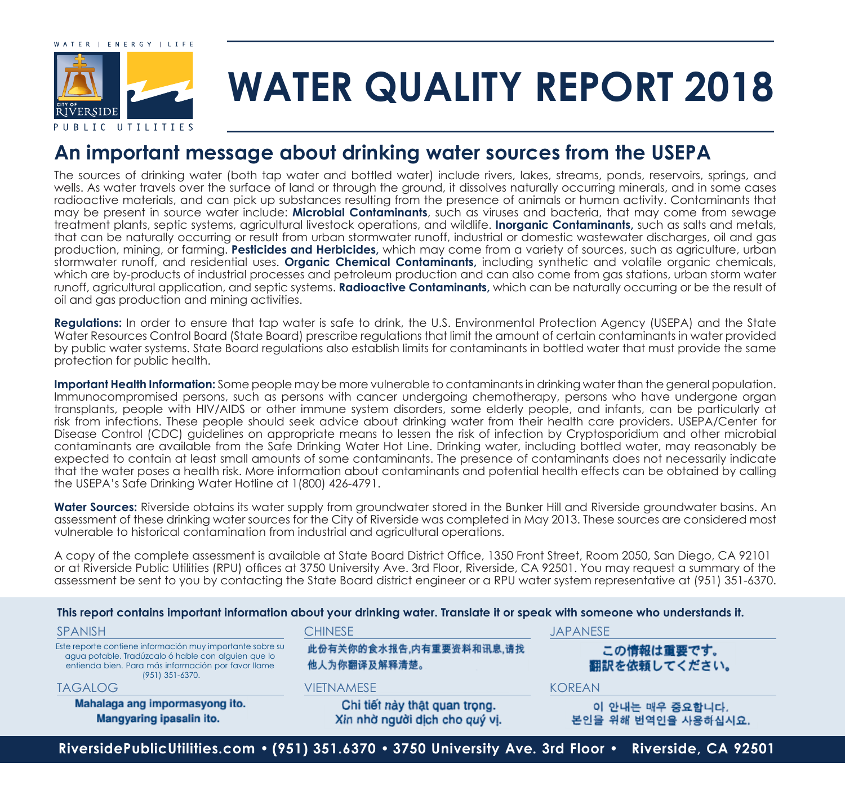

# **WATER QUALITY REPORT 2018**

## **An important message about drinking water sources from the USEPA**

The sources of drinking water (both tap water and bottled water) include rivers, lakes, streams, ponds, reservoirs, springs, and wells. As water travels over the surface of land or through the ground, it dissolves naturally occurring minerals, and in some cases radioactive materials, and can pick up substances resulting from the presence of animals or human activity. Contaminants that may be present in source water include: **Microbial Contaminants**, such as viruses and bacteria, that may come from sewage treatment plants, septic systems, agricultural livestock operations, and wildlife. **Inorganic Contaminants,** such as salts and metals, that can be naturally occurring or result from urban stormwater runoff, industrial or domestic wastewater discharges, oil and gas production, mining, or farming. **Pesticides and Herbicides,** which may come from a variety of sources, such as agriculture, urban stormwater runoff, and residential uses. **Organic Chemical Contaminants,** including synthetic and volatile organic chemicals, which are by-products of industrial processes and petroleum production and can also come from gas stations, urban storm water runoff, agricultural application, and septic systems. **Radioactive Contaminants,** which can be naturally occurring or be the result of oil and gas production and mining activities.

**Regulations:** In order to ensure that tap water is safe to drink, the U.S. Environmental Protection Agency (USEPA) and the State Water Resources Control Board (State Board) prescribe regulations that limit the amount of certain contaminants in water provided by public water systems. State Board regulations also establish limits for contaminants in bottled water that must provide the same protection for public health.

**Important Health Information:** Some people may be more vulnerable to contaminants in drinking water than the general population. Immunocompromised persons, such as persons with cancer undergoing chemotherapy, persons who have undergone organ transplants, people with HIV/AIDS or other immune system disorders, some elderly people, and infants, can be particularly at risk from infections. These people should seek advice about drinking water from their health care providers. USEPA/Center for Disease Control (CDC) guidelines on appropriate means to lessen the risk of infection by Cryptosporidium and other microbial contaminants are available from the Safe Drinking Water Hot Line. Drinking water, including bottled water, may reasonably be expected to contain at least small amounts of some contaminants. The presence of contaminants does not necessarily indicate that the water poses a health risk. More information about contaminants and potential health effects can be obtained by calling the USEPA's Safe Drinking Water Hotline at 1(800) 426-4791.

Water Sources: Riverside obtains its water supply from groundwater stored in the Bunker Hill and Riverside groundwater basins. An assessment of these drinking water sources for the City of Riverside was completed in May 2013. These sources are considered most vulnerable to historical contamination from industrial and agricultural operations.

A copy of the complete assessment is available at State Board District Office, 1350 Front Street, Room 2050, San Diego, CA 92101 or at Riverside Public Utilities (RPU) offices at 3750 University Ave. 3rd Floor, Riverside, CA 92501. You may request a summary of the assessment be sent to you by contacting the State Board district engineer or a RPU water system representative at (951) 351-6370.

#### **This report contains important information about your drinking water. Translate it or speak with someone who understands it.**

| <b>SPANISH</b>                                                                                                                                                                             | <b>CHINESE</b><br><b>JAPANESE</b>                               |                                        |  |  |  |  |
|--------------------------------------------------------------------------------------------------------------------------------------------------------------------------------------------|-----------------------------------------------------------------|----------------------------------------|--|--|--|--|
| Este reporte contiene información muy importante sobre su<br>agua potable. Tradúzcalo ó hable con alguien que lo<br>entienda bien. Para más información por favor llame<br>(951) 351-6370. | 此份有关你的食水报告,内有重要资料和讯息,请找<br>他人为你翻译及解释清楚。                         | この情報は重要です。<br>翻訳を依頼してください。             |  |  |  |  |
| <b>TAGALOG</b>                                                                                                                                                                             | <b>VIETNAMESE</b>                                               | <b>KOREAN</b>                          |  |  |  |  |
| Mahalaga ang impormasyong ito.<br>Mangyaring ipasalin ito.                                                                                                                                 | Chi tiết này thật quan trọng.<br>Xin nhờ người dịch cho quý vị. | 이 안내는 매우 중요합니다.<br>본인을 위해 번역인을 사용하십시요. |  |  |  |  |
| RiversidePublicUtilities.com • (951) 351.6370 • 3750 University Ave. 3rd Floor •<br>Riverside, CA 92501                                                                                    |                                                                 |                                        |  |  |  |  |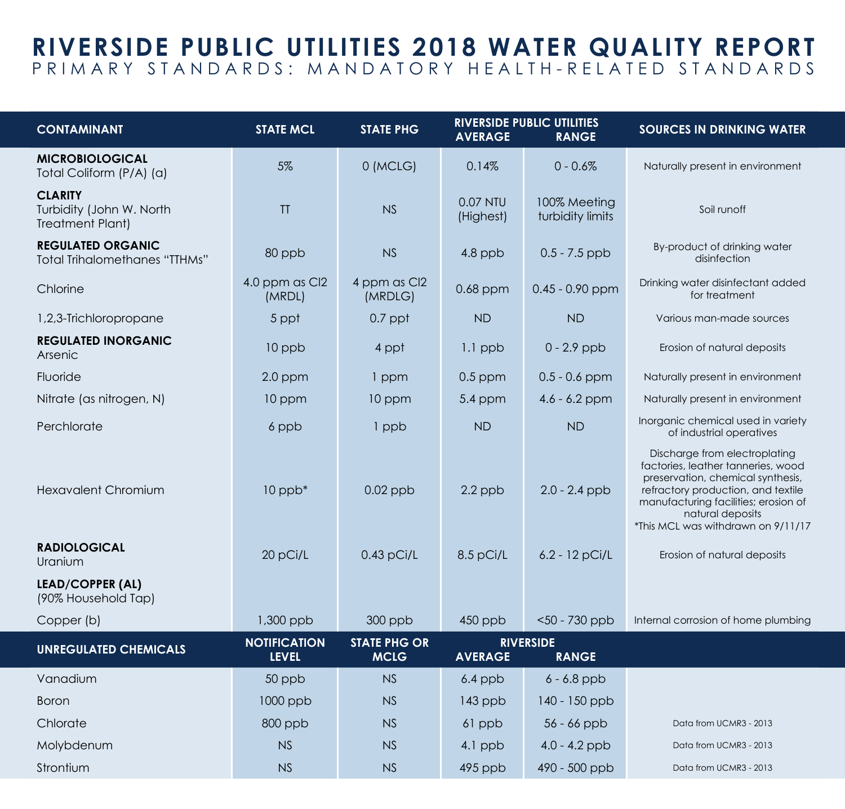### **RIVERSIDE PUBLIC UTILITIES 2018 WATER QUALITY REPORT** PRIMARY STANDARDS: MANDATORY HEALTH-RELATED STANDARDS

| <b>CONTAMINANT</b>                                                    | <b>STATE MCL</b>                    | <b>STATE PHG</b>                   | <b>AVERAGE</b>        | <b>RIVERSIDE PUBLIC UTILITIES</b><br><b>RANGE</b> | <b>SOURCES IN DRINKING WATER</b>                                                                                                                                                                                                                 |  |
|-----------------------------------------------------------------------|-------------------------------------|------------------------------------|-----------------------|---------------------------------------------------|--------------------------------------------------------------------------------------------------------------------------------------------------------------------------------------------------------------------------------------------------|--|
| <b>MICROBIOLOGICAL</b><br>Total Coliform (P/A) (a)                    | 5%                                  | 0 (MCLG)                           | 0.14%                 | $0 - 0.6%$                                        | Naturally present in environment                                                                                                                                                                                                                 |  |
| <b>CLARITY</b><br>Turbidity (John W. North<br><b>Treatment Plant)</b> | TT                                  | <b>NS</b>                          | 0.07 NTU<br>(Highest) | 100% Meeting<br>turbidity limits                  | Soil runoff                                                                                                                                                                                                                                      |  |
| <b>REGULATED ORGANIC</b><br><b>Total Trihalomethanes "TTHMs"</b>      | 80 ppb                              | NS                                 | $4.8$ ppb             | $0.5 - 7.5$ ppb                                   | By-product of drinking water<br>disinfection                                                                                                                                                                                                     |  |
| Chlorine                                                              | 4.0 ppm as Cl2<br>(MRDL)            | 4 ppm as Cl2<br>(MRDLG)            | $0.68$ ppm            | $0.45 - 0.90$ ppm                                 | Drinking water disinfectant added<br>for treatment                                                                                                                                                                                               |  |
| 1,2,3-Trichloropropane                                                | 5 ppt                               | $0.7$ ppt                          | <b>ND</b>             | <b>ND</b>                                         | Various man-made sources                                                                                                                                                                                                                         |  |
| <b>REGULATED INORGANIC</b><br>Arsenic                                 | 10 ppb                              | 4 ppt                              | $1.1$ ppb             | $0 - 2.9$ ppb                                     | Erosion of natural deposits                                                                                                                                                                                                                      |  |
| Fluoride                                                              | $2.0$ ppm                           | 1 ppm                              | $0.5$ ppm             | $0.5 - 0.6$ ppm                                   | Naturally present in environment                                                                                                                                                                                                                 |  |
| Nitrate (as nitrogen, N)                                              | 10 ppm                              | 10 ppm                             | $5.4$ ppm             | $4.6 - 6.2$ ppm                                   | Naturally present in environment                                                                                                                                                                                                                 |  |
| Perchlorate                                                           | 6 ppb                               | 1 ppb                              | <b>ND</b>             | <b>ND</b>                                         | Inorganic chemical used in variety<br>of industrial operatives                                                                                                                                                                                   |  |
| Hexavalent Chromium                                                   | $10$ ppb $*$                        | $0.02$ ppb                         | $2.2$ ppb             | $2.0 - 2.4$ ppb                                   | Discharge from electroplating<br>factories, leather tanneries, wood<br>preservation, chemical synthesis,<br>refractory production, and textile<br>manufacturing facilities; erosion of<br>natural deposits<br>*This MCL was withdrawn on 9/11/17 |  |
| <b>RADIOLOGICAL</b><br>Uranium                                        | 20 pCi/L                            | $0.43$ pCi/L                       | $8.5$ pCi/L           | $6.2 - 12$ pCi/L                                  | Erosion of natural deposits                                                                                                                                                                                                                      |  |
| <b>LEAD/COPPER (AL)</b><br>(90% Household Tap)                        |                                     |                                    |                       |                                                   |                                                                                                                                                                                                                                                  |  |
| Copper (b)                                                            | 1,300 ppb                           | $300$ ppb                          | 450 ppb               | $<$ 50 - 730 ppb                                  | Internal corrosion of home plumbing                                                                                                                                                                                                              |  |
| <b>UNREGULATED CHEMICALS</b>                                          | <b>NOTIFICATION</b><br><b>LEVEL</b> | <b>STATE PHG OR</b><br><b>MCLG</b> | <b>AVERAGE</b>        | <b>RIVERSIDE</b><br><b>RANGE</b>                  |                                                                                                                                                                                                                                                  |  |
| Vanadium                                                              | 50 ppb                              | NS                                 | $6.4$ ppb             | $6 - 6.8$ ppb                                     |                                                                                                                                                                                                                                                  |  |
| <b>Boron</b>                                                          | 1000 ppb                            | <b>NS</b>                          | 143 ppb               | $140 - 150$ ppb                                   |                                                                                                                                                                                                                                                  |  |
| Chlorate                                                              | 800 ppb                             | NS                                 | 61 ppb                | $56 - 66$ ppb                                     | Data from UCMR3 - 2013                                                                                                                                                                                                                           |  |
| Molybdenum                                                            | NS                                  | <b>NS</b>                          | 4.1 ppb               | $4.0 - 4.2$ ppb                                   | Data from UCMR3 - 2013                                                                                                                                                                                                                           |  |
| Strontium                                                             | <b>NS</b>                           | <b>NS</b>                          | 495 ppb               | 490 - 500 ppb                                     | Data from UCMR3 - 2013                                                                                                                                                                                                                           |  |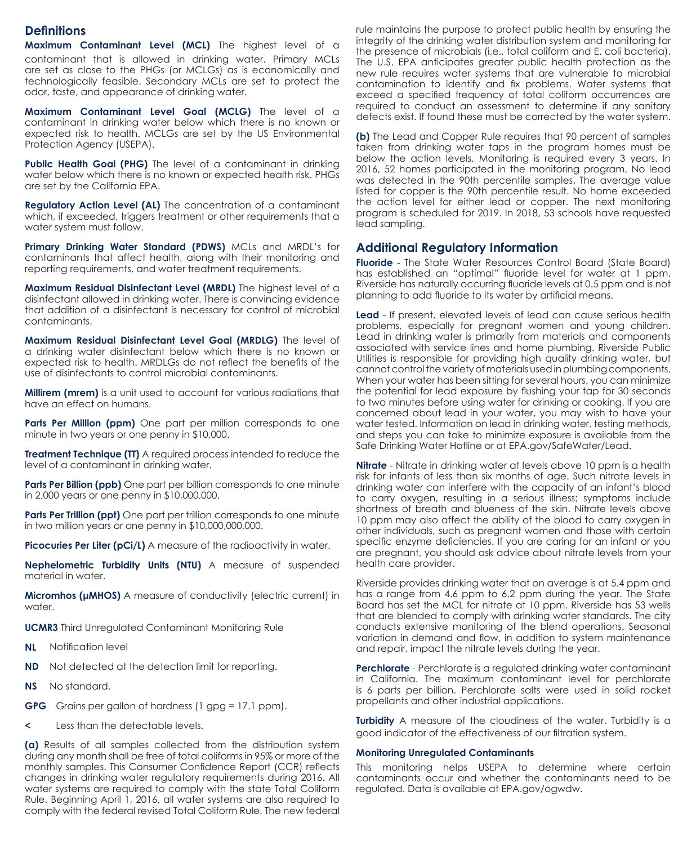#### **Definitions**

**Maximum Contaminant Level (MCL)** The highest level of a contaminant that is allowed in drinking water. Primary MCLs are set as close to the PHGs (or MCLGs) as is economically and technologically feasible. Secondary MCLs are set to protect the odor, taste, and appearance of drinking water.

**Maximum Contaminant Level Goal (MCLG)** The level of a contaminant in drinking water below which there is no known or expected risk to health. MCLGs are set by the US Environmental Protection Agency (USEPA).

**Public Health Goal (PHG)** The level of a contaminant in drinking water below which there is no known or expected health risk. PHGs are set by the California EPA.

**Regulatory Action Level (AL)** The concentration of a contaminant which, if exceeded, triggers treatment or other requirements that a water system must follow.

**Primary Drinking Water Standard (PDWS)** MCLs and MRDL's for contaminants that affect health, along with their monitoring and reporting requirements, and water treatment requirements.

**Maximum Residual Disinfectant Level (MRDL)** The highest level of a disinfectant allowed in drinking water. There is convincing evidence that addition of a disinfectant is necessary for control of microbial contaminants.

**Maximum Residual Disinfectant Level Goal (MRDLG)** The level of a drinking water disinfectant below which there is no known or expected risk to health. MRDLGs do not reflect the benefits of the use of disinfectants to control microbial contaminants.

**Millirem (mrem)** is a unit used to account for various radiations that have an effect on humans.

**Parts Per Million (ppm)** One part per million corresponds to one minute in two years or one penny in \$10,000.

**Treatment Technique (TT)** A required process intended to reduce the level of a contaminant in drinking water.

**Parts Per Billion (ppb)** One part per billion corresponds to one minute in 2,000 years or one penny in \$10,000,000.

**Parts Per Trillion (ppt)** One part per trillion corresponds to one minute in two million years or one penny in \$10,000,000,000.

**Picocuries Per Liter (pCi/L)** A measure of the radioactivity in water.

**Nephelometric Turbidity Units (NTU)** A measure of suspended material in water.

**Micromhos (µMHOS)** A measure of conductivity (electric current) in water.

**UCMR3** Third Unregulated Contaminant Monitoring Rule

- **NL** Notification level
- **ND** Not detected at the detection limit for reporting.
- **NS** No standard.
- **GPG** Grains per gallon of hardness (1 gpg = 17.1 ppm).
- **<** Less than the detectable levels.

**(a)** Results of all samples collected from the distribution system during any month shall be free of total coliforms in 95% or more of the monthly samples. This Consumer Confidence Report (CCR) reflects changes in drinking water regulatory requirements during 2016. All water systems are required to comply with the state Total Coliform Rule. Beginning April 1, 2016, all water systems are also required to comply with the federal revised Total Coliform Rule. The new federal

rule maintains the purpose to protect public health by ensuring the integrity of the drinking water distribution system and monitoring for the presence of microbials (i.e., total coliform and E. coli bacteria). The U.S. EPA anticipates greater public health protection as the new rule requires water systems that are vulnerable to microbial contamination to identify and fix problems. Water systems that exceed a specified frequency of total coliform occurrences are required to conduct an assessment to determine if any sanitary defects exist. If found these must be corrected by the water system.

**(b)** The Lead and Copper Rule requires that 90 percent of samples taken from drinking water taps in the program homes must be below the action levels. Monitoring is required every 3 years. In 2016, 52 homes participated in the monitoring program. No lead was detected in the 90th percentile samples. The average value listed for copper is the 90th percentile result. No home exceeded the action level for either lead or copper. The next monitoring program is scheduled for 2019. In 2018, 53 schools have requested lead sampling.

#### **Additional Regulatory Information**

**Fluoride** - The State Water Resources Control Board (State Board) has established an "optimal" fluoride level for water at 1 ppm. Riverside has naturally occurring fluoride levels at 0.5 ppm and is not planning to add fluoride to its water by artificial means.

**Lead** - If present, elevated levels of lead can cause serious health problems, especially for pregnant women and young children. Lead in drinking water is primarily from materials and components associated with service lines and home plumbing. Riverside Public Utilities is responsible for providing high quality drinking water, but cannot control the variety of materials used in plumbing components. When your water has been sitting for several hours, you can minimize the potential for lead exposure by flushing your tap for 30 seconds to two minutes before using water for drinking or cooking. If you are concerned about lead in your water, you may wish to have your water tested. Information on lead in drinking water, testing methods, and steps you can take to minimize exposure is available from the Safe Drinking Water Hotline or at EPA.gov/SafeWater/Lead.

**Nitrate** - Nitrate in drinking water at levels above 10 ppm is a health risk for infants of less than six months of age. Such nitrate levels in drinking water can interfere with the capacity of an infant's blood to carry oxygen, resulting in a serious illness; symptoms include shortness of breath and blueness of the skin. Nitrate levels above 10 ppm may also affect the ability of the blood to carry oxygen in other individuals, such as pregnant women and those with certain specific enzyme deficiencies. If you are caring for an infant or you are pregnant, you should ask advice about nitrate levels from your health care provider.

Riverside provides drinking water that on average is at 5.4 ppm and has a range from 4.6 ppm to 6.2 ppm during the year. The State Board has set the MCL for nitrate at 10 ppm. Riverside has 53 wells that are blended to comply with drinking water standards. The city conducts extensive monitoring of the blend operations. Seasonal variation in demand and flow, in addition to system maintenance and repair, impact the nitrate levels during the year.

**Perchlorate** - Perchlorate is a regulated drinking water contaminant in California. The maximum contaminant level for perchlorate is 6 parts per billion. Perchlorate salts were used in solid rocket propellants and other industrial applications.

**Turbidity** A measure of the cloudiness of the water. Turbidity is a good indicator of the effectiveness of our filtration system.

#### **Monitoring Unregulated Contaminants**

This monitoring helps USEPA to determine where certain contaminants occur and whether the contaminants need to be regulated. Data is available at EPA.gov/ogwdw.